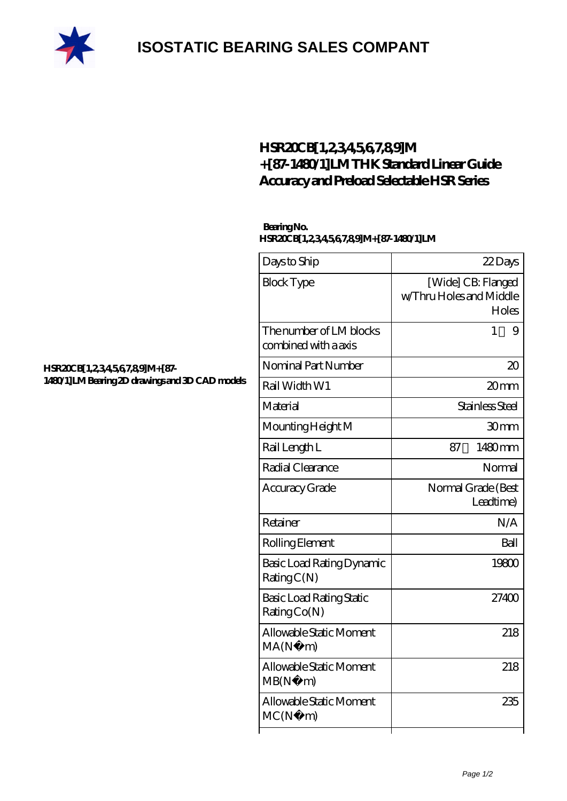

## **[ISOSTATIC BEARING SALES COMPANT](https://m.rebeccakeelingstudios.com)**

## **[HSR20CB\[1,2,3,4,5,6,7,8,9\]M](https://m.rebeccakeelingstudios.com/thk-linear-guide-rails/hsr20cb-1-2-3-4-5-6-7-8-9-m-87-1480-1-lm.html) [+\[87-1480/1\]LM THK Standard Linear Guide](https://m.rebeccakeelingstudios.com/thk-linear-guide-rails/hsr20cb-1-2-3-4-5-6-7-8-9-m-87-1480-1-lm.html) [Accuracy and Preload Selectable HSR Series](https://m.rebeccakeelingstudios.com/thk-linear-guide-rails/hsr20cb-1-2-3-4-5-6-7-8-9-m-87-1480-1-lm.html)**

## **Bearing No. HSR20CB[1,2,3,4,5,6,7,8,9]M+[87-1480/1]LM**

| Days to Ship                                    | 22Days                                                 |
|-------------------------------------------------|--------------------------------------------------------|
| <b>Block Type</b>                               | [Wide] CB: Flanged<br>w/Thru Holes and Middle<br>Holes |
| The number of LM blocks<br>combined with a axis | 1<br>9                                                 |
| Nominal Part Number                             | $\infty$                                               |
| Rail Width W1                                   | 20mm                                                   |
| Material                                        | Stainless Steel                                        |
| Mounting Height M                               | 30 <sub>mm</sub>                                       |
| Rail Length L                                   | 1480mm<br>87                                           |
| Radial Clearance                                | Normal                                                 |
| Accuracy Grade                                  | Normal Grade (Best<br>Leadtime)                        |
| Retainer                                        | N/A                                                    |
| Rolling Element                                 | Ball                                                   |
| Basic Load Rating Dynamic<br>RatingC(N)         | 19800                                                  |
| <b>Basic Load Rating Static</b><br>Rating Co(N) | 27400                                                  |
| Allowable Static Moment<br>MA(N)<br>m)          | 218                                                    |
| Allowable Static Moment<br>MB(N)<br>m)          | 218                                                    |
| Allowable Static Moment<br>MC(N)<br>m)          | 235                                                    |
|                                                 |                                                        |

**[HSR20CB\[1,2,3,4,5,6,7,8,9\]M+\[87-](https://m.rebeccakeelingstudios.com/pic-658476.html) [1480/1\]LM Bearing 2D drawings and 3D CAD models](https://m.rebeccakeelingstudios.com/pic-658476.html)**